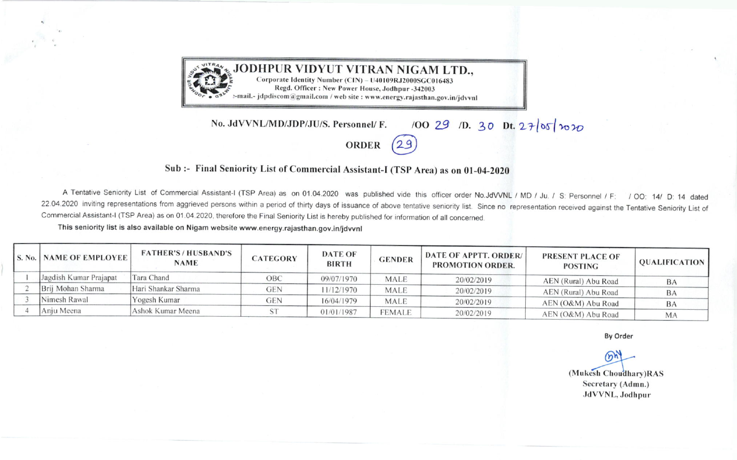

, JODHPUR VIDYUT VITRAN NIGAM LTD., Corporate Identity Number (CIN) - U40109RJ2000SGC016483 Regd. Officer: New Power House, Jodhpur -342003 »-mail.- jdpdiscom@gmail.com / web site : www.energy.rajasthan.gov.in/jdvvnl

## 100 29 1D. 30 Dt. 27/05/2020 No. JdVVNL/MD/JDP/JU/S. Personnel/ F.

**ORDER** 

## Sub :- Final Seniority List of Commercial Assistant-I (TSP Area) as on 01-04-2020

A Tentative Seniority List of Commercial Assistant-I (TSP Area) as on 01.04.2020 was published vide this officer order No.JdVVNL / MD / Ju. / S: Personnel / F: / OO: 14/ D: 14 dated 22.04.2020 inviting representations from aggrieved persons within a period of thirty days of issuance of above tentative seniority list. Since no representation received against the Tentative Seniority List of Commercial Assistant-I (TSP Area) as on 01.04.2020, therefore the Final Seniority List is hereby published for information of all concerned.

This seniority list is also available on Nigam website www.energy.rajasthan.gov.in/jdvvnl

| <b>S. No.   NAME OF EMPLOYEE  </b> | <b>FATHER'S/HUSBAND'S</b><br><b>NAME</b> | <b>CATEGORY</b> | <b>DATE OF</b><br><b>BIRTH</b> | <b>GENDER</b> | <b>DATE OF APPTT. ORDER/</b><br>PROMOTION ORDER. | <b>PRESENT PLACE OF</b><br><b>POSTING</b> | <b>QUALIFICATION</b> |
|------------------------------------|------------------------------------------|-----------------|--------------------------------|---------------|--------------------------------------------------|-------------------------------------------|----------------------|
| Jagdish Kumar Prajapat             | Tara Chand                               | ОВС             | 09/07/1970                     | MALE          | 20/02/2019                                       | AEN (Rural) Abu Road                      | BA                   |
| Brij Mohan Sharma                  | Hari Shankar Sharma                      | GEN             | 11/12/1970                     | MALE          | 20/02/2019                                       | AEN (Rural) Abu Road                      | BA                   |
| Nimesh Rawal                       | Yogesh Kumar                             | gen             | 16/04/1979                     | <b>MALE</b>   | 20/02/2019                                       | AEN (O&M) Abu Road                        | <b>BA</b>            |
| Anju Meena                         | Ashok Kumar Meena                        |                 | 01/01/1987                     | female        | 20/02/2019                                       | AEN (O&M) Abu Road                        | M/                   |

By Order

 $(n)$ (Mukesh Choudhary)RAS Secretary (Admn.) JdVVNL, Jodhpur